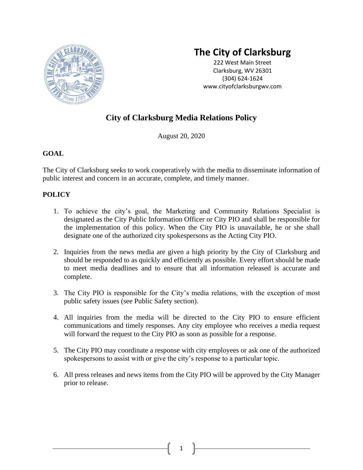

# **The City of Clarksburg**

222 West Main Street Clarksburg, WV 26301 (304) 624-1624 www.cityofclarksburgwv.com

# **City of Clarksburg Media Relations Policy**

August 20, 2020

# **GOAL**

The City of Clarksburg seeks to work cooperatively with the media to disseminate information of public interest and concern in an accurate, complete, and timely manner.

# **POLICY**

- 1. To achieve the city's goal, the Marketing and Community Relations Specialist is designated as the City Public Information Officer or City PIO and shall be responsible for the implementation of this policy. When the City PIO is unavailable, he or she shall designate one of the authorized city spokespersons as the Acting City PIO.
- 2. Inquiries from the news media are given a high priority by the City of Clarksburg and should be responded to as quickly and efficiently as possible. Every effort should be made to meet media deadlines and to ensure that all information released is accurate and complete.
- 3. The City PIO is responsible for the City's media relations, with the exception of most public safety issues (see Public Safety section).
- 4. All inquiries from the media will be directed to the City PIO to ensure efficient communications and timely responses. Any city employee who receives a media request will forward the request to the City PIO as soon as possible for a response.
- 5. The City PIO may coordinate a response with city employees or ask one of the authorized spokespersons to assist with or give the city's response to a particular topic.
- 6. All press releases and news items from the City PIO will be approved by the City Manager prior to release.

1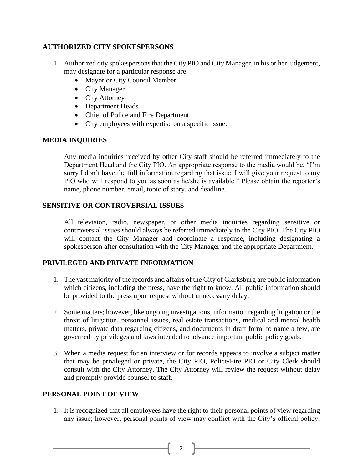#### **AUTHORIZED CITY SPOKESPERSONS**

- 1. Authorized city spokespersons that the City PIO and City Manager, in his or her judgement, may designate for a particular response are:
	- Mayor or City Council Member
	- City Manager
	- City Attorney
	- Department Heads
	- Chief of Police and Fire Department
	- City employees with expertise on a specific issue.

#### **MEDIA INQUIRIES**

Any media inquiries received by other City staff should be referred immediately to the Department Head and the City PIO. An appropriate response to the media would be, "I'm sorry I don't have the full information regarding that issue. I will give your request to my PIO who will respond to you as soon as he/she is available." Please obtain the reporter's name, phone number, email, topic of story, and deadline.

#### **SENSITIVE OR CONTROVERSIAL ISSUES**

All television, radio, newspaper, or other media inquiries regarding sensitive or controversial issues should always be referred immediately to the City PIO. The City PIO will contact the City Manager and coordinate a response, including designating a spokesperson after consultation with the City Manager and the appropriate Department.

### **PRIVILEGED AND PRIVATE INFORMATION**

- 1. The vast majority of the records and affairs of the City of Clarksburg are public information which citizens, including the press, have the right to know. All public information should be provided to the press upon request without unnecessary delay.
- 2. Some matters; however, like ongoing investigations, information regarding litigation or the threat of litigation, personnel issues, real estate transactions, medical and mental health matters, private data regarding citizens, and documents in draft form, to name a few, are governed by privileges and laws intended to advance important public policy goals.
- 3. When a media request for an interview or for records appears to involve a subject matter that may be privileged or private, the City PIO, Police/Fire PIO or City Clerk should consult with the City Attorney. The City Attorney will review the request without delay and promptly provide counsel to staff.

#### **PERSONAL POINT OF VIEW**

1. It is recognized that all employees have the right to their personal points of view regarding any issue; however, personal points of view may conflict with the City's official policy.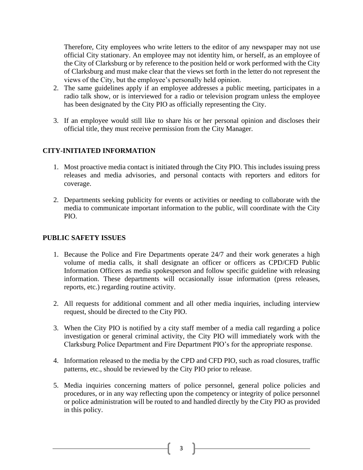Therefore, City employees who write letters to the editor of any newspaper may not use official City stationary. An employee may not identity him, or herself, as an employee of the City of Clarksburg or by reference to the position held or work performed with the City of Clarksburg and must make clear that the views set forth in the letter do not represent the views of the City, but the employee's personally held opinion.

- 2. The same guidelines apply if an employee addresses a public meeting, participates in a radio talk show, or is interviewed for a radio or television program unless the employee has been designated by the City PIO as officially representing the City.
- 3. If an employee would still like to share his or her personal opinion and discloses their official title, they must receive permission from the City Manager.

#### **CITY-INITIATED INFORMATION**

- 1. Most proactive media contact is initiated through the City PIO. This includes issuing press releases and media advisories, and personal contacts with reporters and editors for coverage.
- 2. Departments seeking publicity for events or activities or needing to collaborate with the media to communicate important information to the public, will coordinate with the City PIO.

#### **PUBLIC SAFETY ISSUES**

- 1. Because the Police and Fire Departments operate 24/7 and their work generates a high volume of media calls, it shall designate an officer or officers as CPD/CFD Public Information Officers as media spokesperson and follow specific guideline with releasing information. These departments will occasionally issue information (press releases, reports, etc.) regarding routine activity.
- 2. All requests for additional comment and all other media inquiries, including interview request, should be directed to the City PIO.
- 3. When the City PIO is notified by a city staff member of a media call regarding a police investigation or general criminal activity, the City PIO will immediately work with the Clarksburg Police Department and Fire Department PIO's for the appropriate response.
- 4. Information released to the media by the CPD and CFD PIO, such as road closures, traffic patterns, etc., should be reviewed by the City PIO prior to release.
- 5. Media inquiries concerning matters of police personnel, general police policies and procedures, or in any way reflecting upon the competency or integrity of police personnel or police administration will be routed to and handled directly by the City PIO as provided in this policy.

3